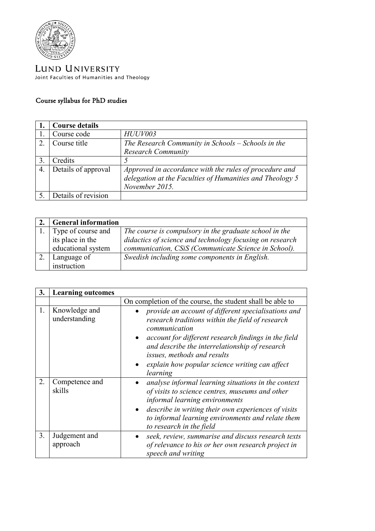

LUND UNIVERSITY Joint Faculties of Humanities and Theology

## Course syllabus for PhD studies

|               | <b>Course details</b> |                                                          |
|---------------|-----------------------|----------------------------------------------------------|
|               | Course code           | HUUV003                                                  |
| $\mathcal{D}$ | Course title          | The Research Community in Schools – Schools in the       |
|               |                       | <b>Research Community</b>                                |
|               | Credits               |                                                          |
| 4.            | Details of approval   | Approved in accordance with the rules of procedure and   |
|               |                       | delegation at the Faculties of Humanities and Theology 5 |
|               |                       | November 2015.                                           |
|               | Details of revision   |                                                          |

| <b>General information</b> |                                                          |
|----------------------------|----------------------------------------------------------|
| 1. Type of course and      | The course is compulsory in the graduate school in the   |
| its place in the           | didactics of science and technology focusing on research |
| educational system         | communication, CSiS (Communicate Science in School).     |
| Language of                | Swedish including some components in English.            |
| instruction                |                                                          |

| 3. | <b>Learning outcomes</b>       |                                                                                                                                                                                  |
|----|--------------------------------|----------------------------------------------------------------------------------------------------------------------------------------------------------------------------------|
|    |                                | On completion of the course, the student shall be able to                                                                                                                        |
| 1. | Knowledge and<br>understanding | provide an account of different specialisations and<br>research traditions within the field of research<br>communication<br>account for different research findings in the field |
|    |                                | and describe the interrelationship of research<br>issues, methods and results                                                                                                    |
|    |                                | explain how popular science writing can affect<br>learning                                                                                                                       |
| 2. | Competence and<br>skills       | analyse informal learning situations in the context<br>of visits to science centres, museums and other<br>informal learning environments                                         |
|    |                                | describe in writing their own experiences of visits<br>to informal learning environments and relate them<br>to research in the field                                             |
| 3. | Judgement and<br>approach      | seek, review, summarise and discuss research texts<br>of relevance to his or her own research project in<br>speech and writing                                                   |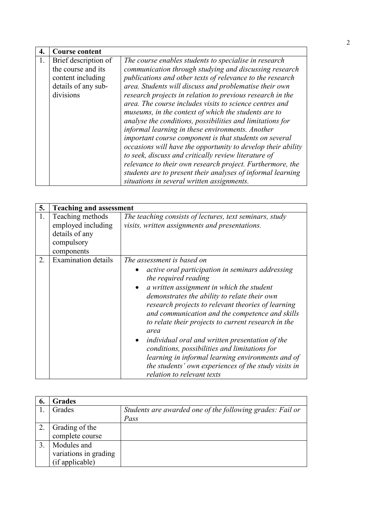| 4. | <b>Course content</b> |                                                              |
|----|-----------------------|--------------------------------------------------------------|
|    | Brief description of  | The course enables students to specialise in research        |
|    | the course and its    | communication through studying and discussing research       |
|    | content including     | publications and other texts of relevance to the research    |
|    | details of any sub-   | area. Students will discuss and problematise their own       |
|    | divisions             | research projects in relation to previous research in the    |
|    |                       | area. The course includes visits to science centres and      |
|    |                       | museums, in the context of which the students are to         |
|    |                       | analyse the conditions, possibilities and limitations for    |
|    |                       | informal learning in these environments. Another             |
|    |                       | important course component is that students on several       |
|    |                       | occasions will have the opportunity to develop their ability |
|    |                       | to seek, discuss and critically review literature of         |
|    |                       | relevance to their own research project. Furthermore, the    |
|    |                       | students are to present their analyses of informal learning  |
|    |                       | situations in several written assignments.                   |

| 5. | <b>Teaching and assessment</b>                                                       |                                                                                                                                                                                                                                                                                                                                                                                                                                                                                                                                                                                                                            |
|----|--------------------------------------------------------------------------------------|----------------------------------------------------------------------------------------------------------------------------------------------------------------------------------------------------------------------------------------------------------------------------------------------------------------------------------------------------------------------------------------------------------------------------------------------------------------------------------------------------------------------------------------------------------------------------------------------------------------------------|
| 1. | Teaching methods<br>employed including<br>details of any<br>compulsory<br>components | The teaching consists of lectures, text seminars, study<br>visits, written assignments and presentations.                                                                                                                                                                                                                                                                                                                                                                                                                                                                                                                  |
| 2. | <b>Examination details</b>                                                           | The assessment is based on<br>active oral participation in seminars addressing<br>the required reading<br>a written assignment in which the student<br>demonstrates the ability to relate their own<br>research projects to relevant theories of learning<br>and communication and the competence and skills<br>to relate their projects to current research in the<br>area<br>individual oral and written presentation of the<br>conditions, possibilities and limitations for<br>learning in informal learning environments and of<br>the students' own experiences of the study visits in<br>relation to relevant texts |

| 6. | <b>Grades</b>         |                                                           |
|----|-----------------------|-----------------------------------------------------------|
|    | Grades                | Students are awarded one of the following grades: Fail or |
|    |                       | Pass                                                      |
|    | Grading of the        |                                                           |
|    | complete course       |                                                           |
|    | Modules and           |                                                           |
|    | variations in grading |                                                           |
|    | (if applicable)       |                                                           |